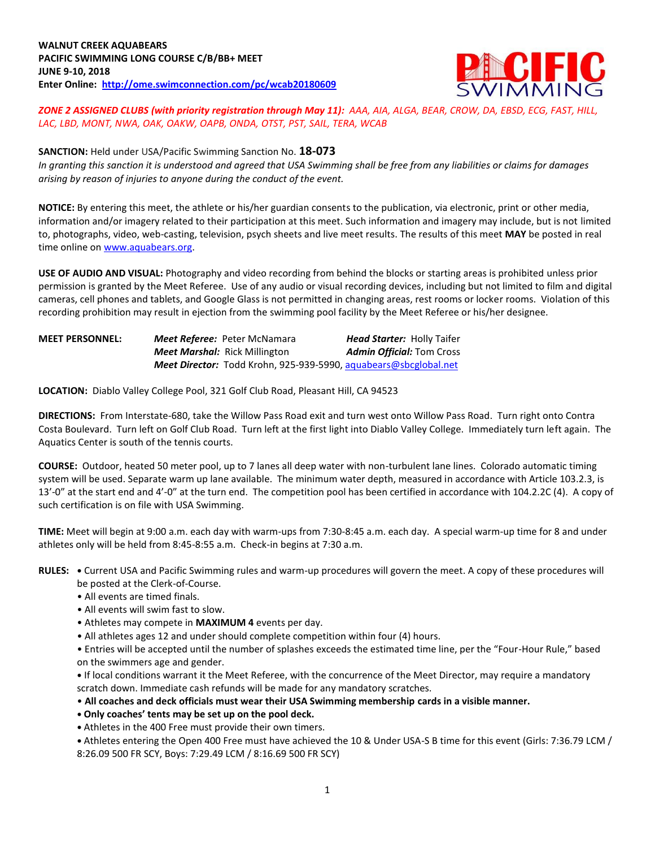

*ZONE 2 ASSIGNED CLUBS (with priority registration through May 11): AAA, AIA, ALGA, BEAR, CROW, DA, EBSD, ECG, FAST, HILL, LAC, LBD, MONT, NWA, OAK, OAKW, OAPB, ONDA, OTST, PST, SAIL, TERA, WCAB*

# **SANCTION:** Held under USA/Pacific Swimming Sanction No. **18-073**

*In granting this sanction it is understood and agreed that USA Swimming shall be free from any liabilities or claims for damages arising by reason of injuries to anyone during the conduct of the event.*

**NOTICE:** By entering this meet, the athlete or his/her guardian consents to the publication, via electronic, print or other media, information and/or imagery related to their participation at this meet. Such information and imagery may include, but is not limited to, photographs, video, web-casting, television, psych sheets and live meet results. The results of this meet **MAY** be posted in real time online on [www.aquabears.org.](http://www.aquabears.org/)

**USE OF AUDIO AND VISUAL:** Photography and video recording from behind the blocks or starting areas is prohibited unless prior permission is granted by the Meet Referee. Use of any audio or visual recording devices, including but not limited to film and digital cameras, cell phones and tablets, and Google Glass is not permitted in changing areas, rest rooms or locker rooms. Violation of this recording prohibition may result in ejection from the swimming pool facility by the Meet Referee or his/her designee.

| <b>MEET PERSONNEL:</b> | <b>Meet Referee:</b> Peter McNamara                              | <b>Head Starter: Holly Taifer</b> |
|------------------------|------------------------------------------------------------------|-----------------------------------|
|                        | <b>Meet Marshal:</b> Rick Millington                             | <b>Admin Official: Tom Cross</b>  |
|                        | Meet Director: Todd Krohn, 925-939-5990, aquabears@sbcglobal.net |                                   |

**LOCATION:** Diablo Valley College Pool, 321 Golf Club Road, Pleasant Hill, CA 94523

**DIRECTIONS:** From Interstate-680, take the Willow Pass Road exit and turn west onto Willow Pass Road. Turn right onto Contra Costa Boulevard. Turn left on Golf Club Road. Turn left at the first light into Diablo Valley College. Immediately turn left again. The Aquatics Center is south of the tennis courts.

**COURSE:** Outdoor, heated 50 meter pool, up to 7 lanes all deep water with non-turbulent lane lines. Colorado automatic timing system will be used. Separate warm up lane available. The minimum water depth, measured in accordance with Article 103.2.3, is 13'-0" at the start end and 4'-0" at the turn end. The competition pool has been certified in accordance with 104.2.2C (4). A copy of such certification is on file with USA Swimming.

**TIME:** Meet will begin at 9:00 a.m. each day with warm-ups from 7:30-8:45 a.m. each day. A special warm-up time for 8 and under athletes only will be held from 8:45-8:55 a.m. Check-in begins at 7:30 a.m.

**RULES: •** Current USA and Pacific Swimming rules and warm-up procedures will govern the meet. A copy of these procedures will be posted at the Clerk-of-Course.

- All events are timed finals.
- All events will swim fast to slow.
- Athletes may compete in **MAXIMUM 4** events per day.
- All athletes ages 12 and under should complete competition within four (4) hours.

• Entries will be accepted until the number of splashes exceeds the estimated time line, per the "Four-Hour Rule," based on the swimmers age and gender.

**•** If local conditions warrant it the Meet Referee, with the concurrence of the Meet Director, may require a mandatory scratch down. Immediate cash refunds will be made for any mandatory scratches.

• **All coaches and deck officials must wear their USA Swimming membership cards in a visible manner.** 

- **Only coaches' tents may be set up on the pool deck.**
- Athletes in the 400 Free must provide their own timers.
- Athletes entering the Open 400 Free must have achieved the 10 & Under USA-S B time for this event (Girls: 7:36.79 LCM / 8:26.09 500 FR SCY, Boys: 7:29.49 LCM / 8:16.69 500 FR SCY)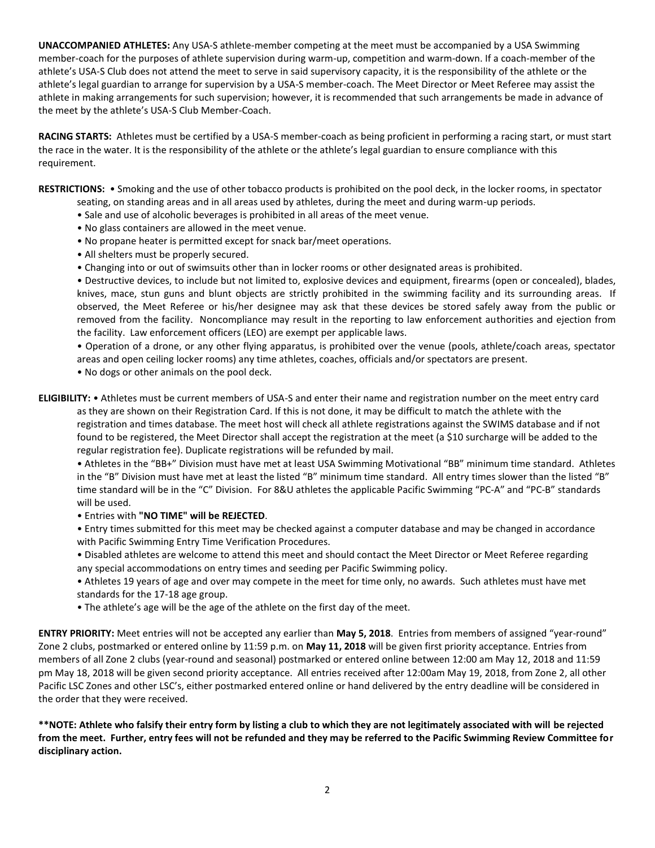**UNACCOMPANIED ATHLETES:** Any USA-S athlete-member competing at the meet must be accompanied by a USA Swimming member-coach for the purposes of athlete supervision during warm-up, competition and warm-down. If a coach-member of the athlete's USA-S Club does not attend the meet to serve in said supervisory capacity, it is the responsibility of the athlete or the athlete's legal guardian to arrange for supervision by a USA-S member-coach. The Meet Director or Meet Referee may assist the athlete in making arrangements for such supervision; however, it is recommended that such arrangements be made in advance of the meet by the athlete's USA-S Club Member-Coach.

**RACING STARTS:** Athletes must be certified by a USA-S member-coach as being proficient in performing a racing start, or must start the race in the water. It is the responsibility of the athlete or the athlete's legal guardian to ensure compliance with this requirement.

**RESTRICTIONS:** • Smoking and the use of other tobacco products is prohibited on the pool deck, in the locker rooms, in spectator seating, on standing areas and in all areas used by athletes, during the meet and during warm-up periods.

- Sale and use of alcoholic beverages is prohibited in all areas of the meet venue.
- No glass containers are allowed in the meet venue.
- No propane heater is permitted except for snack bar/meet operations.
- All shelters must be properly secured.
- Changing into or out of swimsuits other than in locker rooms or other designated areas is prohibited.

• Destructive devices, to include but not limited to, explosive devices and equipment, firearms (open or concealed), blades, knives, mace, stun guns and blunt objects are strictly prohibited in the swimming facility and its surrounding areas. If observed, the Meet Referee or his/her designee may ask that these devices be stored safely away from the public or removed from the facility. Noncompliance may result in the reporting to law enforcement authorities and ejection from the facility. Law enforcement officers (LEO) are exempt per applicable laws.

• Operation of a drone, or any other flying apparatus, is prohibited over the venue (pools, athlete/coach areas, spectator areas and open ceiling locker rooms) any time athletes, coaches, officials and/or spectators are present.

• No dogs or other animals on the pool deck.

**ELIGIBILITY:** • Athletes must be current members of USA-S and enter their name and registration number on the meet entry card as they are shown on their Registration Card. If this is not done, it may be difficult to match the athlete with the registration and times database. The meet host will check all athlete registrations against the SWIMS database and if not found to be registered, the Meet Director shall accept the registration at the meet (a \$10 surcharge will be added to the regular registration fee). Duplicate registrations will be refunded by mail.

• Athletes in the "BB+" Division must have met at least USA Swimming Motivational "BB" minimum time standard. Athletes in the "B" Division must have met at least the listed "B" minimum time standard. All entry times slower than the listed "B" time standard will be in the "C" Division. For 8&U athletes the applicable Pacific Swimming "PC-A" and "PC-B" standards will be used.

• Entries with **"NO TIME" will be REJECTED**.

• Entry times submitted for this meet may be checked against a computer database and may be changed in accordance with Pacific Swimming Entry Time Verification Procedures.

• Disabled athletes are welcome to attend this meet and should contact the Meet Director or Meet Referee regarding any special accommodations on entry times and seeding per Pacific Swimming policy.

• Athletes 19 years of age and over may compete in the meet for time only, no awards. Such athletes must have met standards for the 17-18 age group.

• The athlete's age will be the age of the athlete on the first day of the meet.

**ENTRY PRIORITY:** Meet entries will not be accepted any earlier than **May 5, 2018**. Entries from members of assigned "year-round" Zone 2 clubs, postmarked or entered online by 11:59 p.m. on **May 11, 2018** will be given first priority acceptance. Entries from members of all Zone 2 clubs (year-round and seasonal) postmarked or entered online between 12:00 am May 12, 2018 and 11:59 pm May 18, 2018 will be given second priority acceptance. All entries received after 12:00am May 19, 2018, from Zone 2, all other Pacific LSC Zones and other LSC's, either postmarked entered online or hand delivered by the entry deadline will be considered in the order that they were received.

**\*\*NOTE: Athlete who falsify their entry form by listing a club to which they are not legitimately associated with will be rejected from the meet. Further, entry fees will not be refunded and they may be referred to the Pacific Swimming Review Committee for disciplinary action.**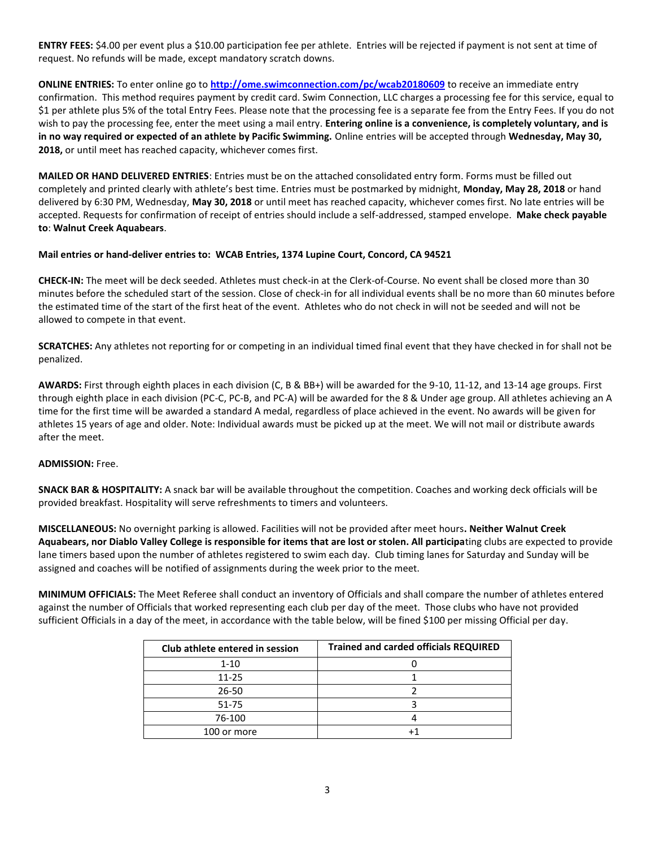**ENTRY FEES:** \$4.00 per event plus a \$10.00 participation fee per athlete. Entries will be rejected if payment is not sent at time of request. No refunds will be made, except mandatory scratch downs.

**ONLINE ENTRIES:** To enter online go to **<http://ome.swimconnection.com/pc/wcab20180609>** to receive an immediate entry confirmation. This method requires payment by credit card. Swim Connection, LLC charges a processing fee for this service, equal to \$1 per athlete plus 5% of the total Entry Fees. Please note that the processing fee is a separate fee from the Entry Fees. If you do not wish to pay the processing fee, enter the meet using a mail entry. **Entering online is a convenience, is completely voluntary, and is in no way required or expected of an athlete by Pacific Swimming.** Online entries will be accepted through **Wednesday, May 30, 2018,** or until meet has reached capacity, whichever comes first.

**MAILED OR HAND DELIVERED ENTRIES**: Entries must be on the attached consolidated entry form. Forms must be filled out completely and printed clearly with athlete's best time. Entries must be postmarked by midnight, **Monday, May 28, 2018** or hand delivered by 6:30 PM, Wednesday, **May 30, 2018** or until meet has reached capacity, whichever comes first. No late entries will be accepted. Requests for confirmation of receipt of entries should include a self-addressed, stamped envelope. **Make check payable to**: **Walnut Creek Aquabears**.

#### **Mail entries or hand-deliver entries to: WCAB Entries, 1374 Lupine Court, Concord, CA 94521**

**CHECK-IN:** The meet will be deck seeded. Athletes must check-in at the Clerk-of-Course. No event shall be closed more than 30 minutes before the scheduled start of the session. Close of check-in for all individual events shall be no more than 60 minutes before the estimated time of the start of the first heat of the event. Athletes who do not check in will not be seeded and will not be allowed to compete in that event.

**SCRATCHES:** Any athletes not reporting for or competing in an individual timed final event that they have checked in for shall not be penalized.

**AWARDS:** First through eighth places in each division (C, B & BB+) will be awarded for the 9-10, 11-12, and 13-14 age groups. First through eighth place in each division (PC-C, PC-B, and PC-A) will be awarded for the 8 & Under age group. All athletes achieving an A time for the first time will be awarded a standard A medal, regardless of place achieved in the event. No awards will be given for athletes 15 years of age and older. Note: Individual awards must be picked up at the meet. We will not mail or distribute awards after the meet.

## **ADMISSION:** Free.

**SNACK BAR & HOSPITALITY:** A snack bar will be available throughout the competition. Coaches and working deck officials will be provided breakfast. Hospitality will serve refreshments to timers and volunteers.

**MISCELLANEOUS:** No overnight parking is allowed. Facilities will not be provided after meet hours**. Neither Walnut Creek Aquabears, nor Diablo Valley College is responsible for items that are lost or stolen. All participa**ting clubs are expected to provide lane timers based upon the number of athletes registered to swim each day. Club timing lanes for Saturday and Sunday will be assigned and coaches will be notified of assignments during the week prior to the meet.

**MINIMUM OFFICIALS:** The Meet Referee shall conduct an inventory of Officials and shall compare the number of athletes entered against the number of Officials that worked representing each club per day of the meet. Those clubs who have not provided sufficient Officials in a day of the meet, in accordance with the table below, will be fined \$100 per missing Official per day.

| Club athlete entered in session | <b>Trained and carded officials REQUIRED</b> |  |  |  |  |
|---------------------------------|----------------------------------------------|--|--|--|--|
| $1 - 10$                        |                                              |  |  |  |  |
| $11 - 25$                       |                                              |  |  |  |  |
| 26-50                           |                                              |  |  |  |  |
| 51-75                           |                                              |  |  |  |  |
| 76-100                          |                                              |  |  |  |  |
| 100 or more                     |                                              |  |  |  |  |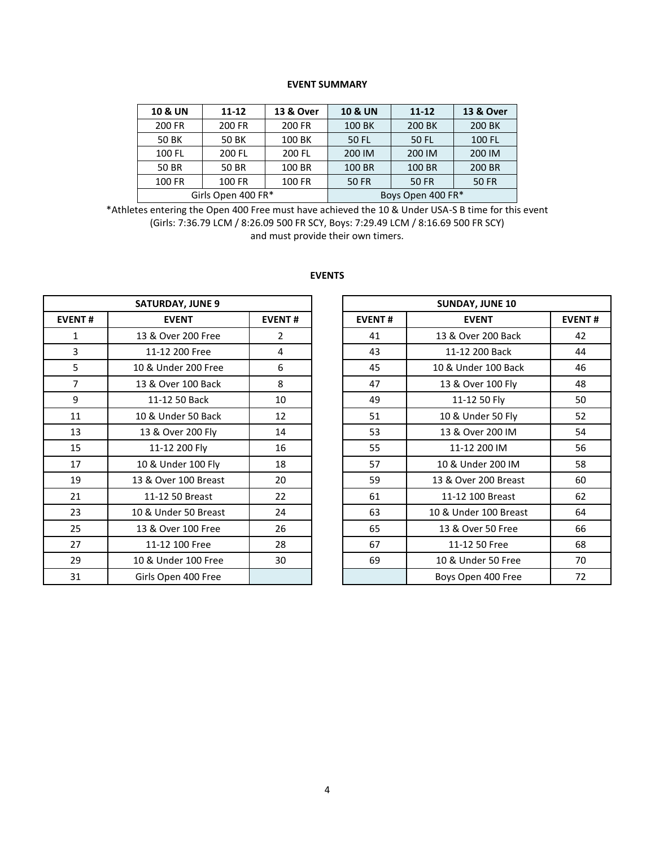#### **EVENT SUMMARY**

| <b>10 &amp; UN</b> | $11 - 12$          | <b>13 &amp; Over</b> | <b>10 &amp; UN</b> | $11 - 12$    | 13 & Over    |  |  |
|--------------------|--------------------|----------------------|--------------------|--------------|--------------|--|--|
| 200 FR             | 200 FR             | 200 FR               | 100 BK             | 200 BK       | 200 BK       |  |  |
| <b>50 BK</b>       | <b>50 BK</b>       | 100 BK               | 50 FL              | 50 FL        | 100 FL       |  |  |
| 100 FL             | 200 FL             | 200 FL               | 200 IM             | 200 IM       | 200 IM       |  |  |
| 50 BR              | 50 BR              | 100 BR               | 100 BR             | 100 BR       | 200 BR       |  |  |
| 100 FR             | 100 FR             | 100 FR               | <b>50 FR</b>       | <b>50 FR</b> | <b>50 FR</b> |  |  |
|                    | Girls Open 400 FR* |                      | Boys Open 400 FR*  |              |              |  |  |

\*Athletes entering the Open 400 Free must have achieved the 10 & Under USA-S B time for this event (Girls: 7:36.79 LCM / 8:26.09 500 FR SCY, Boys: 7:29.49 LCM / 8:16.69 500 FR SCY) and must provide their own timers.

|                | <b>SATURDAY, JUNE 9</b>       |                |               | <b>SUNDAY, JUNE 10</b> |               |
|----------------|-------------------------------|----------------|---------------|------------------------|---------------|
| <b>EVENT#</b>  | <b>EVENT</b><br><b>EVENT#</b> |                | <b>EVENT#</b> | <b>EVENT</b>           | <b>EVENT#</b> |
| $\mathbf{1}$   | 13 & Over 200 Free            | $\overline{2}$ | 41            | 13 & Over 200 Back     | 42            |
| 3              | 11-12 200 Free                | 4              | 43            | 11-12 200 Back         | 44            |
| 5              | 10 & Under 200 Free           | 6              | 45            | 10 & Under 100 Back    | 46            |
| $\overline{7}$ | 13 & Over 100 Back            | 8              | 47            | 13 & Over 100 Fly      | 48            |
| 9              | 11-12 50 Back                 | 10             | 49            | 11-12 50 Fly           | 50            |
| 11             | 10 & Under 50 Back            | 12             | 51            | 10 & Under 50 Fly      | 52            |
| 13             | 13 & Over 200 Fly             | 14             | 53            | 13 & Over 200 IM       | 54            |
| 15             | 11-12 200 Fly                 | 16             | 55            | 11-12 200 IM           | 56            |
| 17             | 10 & Under 100 Fly            | 18             | 57            | 10 & Under 200 IM      | 58            |
| 19             | 13 & Over 100 Breast          | 20             | 59            | 13 & Over 200 Breast   | 60            |
| 21             | 11-12 50 Breast               | 22             | 61            | 11-12 100 Breast       | 62            |
| 23             | 10 & Under 50 Breast          | 24             | 63            | 10 & Under 100 Breast  | 64            |
| 25             | 13 & Over 100 Free            | 26             | 65            | 13 & Over 50 Free      | 66            |
| 27             | 11-12 100 Free                | 28             | 67            | 11-12 50 Free          | 68            |
| 29             | 10 & Under 100 Free           | 30             | 69            | 10 & Under 50 Free     | 70            |
| 31             | Girls Open 400 Free           |                |               | Boys Open 400 Free     | 72            |

## **EVENTS**

| <b>SATURDAY, JUNE 9</b> |                      |               |  |
|-------------------------|----------------------|---------------|--|
| ENT#                    | <b>EVENT</b>         | <b>EVENT#</b> |  |
| $\mathbf{1}$            | 13 & Over 200 Free   | 2             |  |
| $\overline{3}$          | 11-12 200 Free       | 4             |  |
| 5                       | 10 & Under 200 Free  | 6             |  |
| $\overline{7}$          | 13 & Over 100 Back   | 8             |  |
| $\boldsymbol{9}$        | 11-12 50 Back        | 10            |  |
| 11                      | 10 & Under 50 Back   | 12            |  |
| 13                      | 13 & Over 200 Fly    | 14            |  |
| 15                      | 11-12 200 Fly        | 16            |  |
| 17                      | 10 & Under 100 Fly   | 18            |  |
| 19                      | 13 & Over 100 Breast | 20            |  |
| 21                      | 11-12 50 Breast      | 22            |  |
| 23                      | 10 & Under 50 Breast | 24            |  |
| 25                      | 13 & Over 100 Free   | 26            |  |
| 27                      | 11-12 100 Free       | 28            |  |
| 29                      | 10 & Under 100 Free  | 30            |  |
| 31                      | Girls Open 400 Free  |               |  |